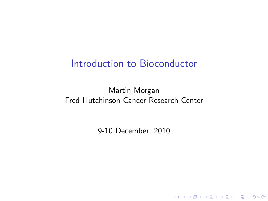#### Introduction to Bioconductor

#### Martin Morgan Fred Hutchinson Cancer Research Center

9-10 December, 2010

**Kロトメ部トメミトメミト ミニのRC**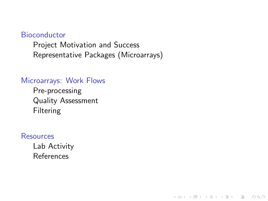#### **[Bioconductor](#page-2-0)**

[Project Motivation and Success](#page-2-0) [Representative Packages \(Microarrays\)](#page-3-0)

K ロ ▶ K 個 ▶ K 할 ▶ K 할 ▶ 이 할 → 9 Q Q →

#### [Microarrays: Work Flows](#page-4-0)

[Pre-processing](#page-8-0) [Quality Assessment](#page-11-0) [Filtering](#page-12-0)

#### **[Resources](#page-13-0)**

[Lab Activity](#page-13-0) [References](#page-14-0)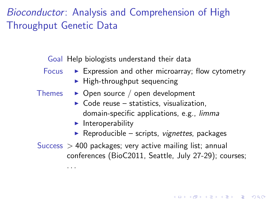# Bioconductor: Analysis and Comprehension of High Throughput Genetic Data

Goal Help biologists understand their data

- Focus  $\triangleright$  Expression and other microarray; flow cytometry
	- $\blacktriangleright$  High-throughput sequencing
- Themes  $\rightarrow$  Open source / open development
	- $\triangleright$  Code reuse statistics, visualization, domain-specific applications, e.g., [limma](http://bioconductor.org/packages/release/bioc/html/limma.html)
	- $\blacktriangleright$  Interoperability

. . .

 $\triangleright$  Reproducible – scripts, *vignettes*, packages

4 0 > 4 4 + 4 = + 4 = + = + + 0 4 0 +

<span id="page-2-0"></span>Success  $> 400$  packages; very active mailing list; annual conferences (BioC2011, Seattle, July 27-29); courses;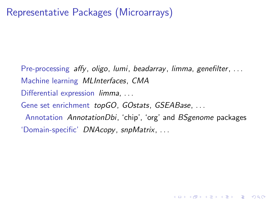<span id="page-3-0"></span>Pre-processing [affy](http://bioconductor.org/packages/release/bioc/html/affy.html), [oligo](http://bioconductor.org/packages/release/bioc/html/oligo.html), [lumi](http://bioconductor.org/packages/release/bioc/html/lumi.html), [beadarray](http://bioconductor.org/packages/release/bioc/html/beadarray.html), [limma](http://bioconductor.org/packages/release/bioc/html/limma.html), [genefilter](http://bioconductor.org/packages/release/bioc/html/genefilter.html), ... Machine learning [MLInterfaces](http://bioconductor.org/packages/release/bioc/html/MLInterfaces.html), [CMA](http://bioconductor.org/packages/release/bioc/html/CMA.html) Differential expression *[limma](http://bioconductor.org/packages/release/bioc/html/limma.html)*, ... Gene set enrichment [topGO](http://bioconductor.org/packages/release/bioc/html/topGO.html), [GOstats](http://bioconductor.org/packages/release/bioc/html/GOstats.html), [GSEABase](http://bioconductor.org/packages/release/bioc/html/GSEABase.html), ... Annotation [AnnotationDbi](http://bioconductor.org/packages/release/bioc/html/AnnotationDbi.html), 'chip', 'org' and [BSgenome](http://bioconductor.org/packages/release/bioc/html/BSgenome.html) packages 'Domain-specific' [DNAcopy](http://bioconductor.org/packages/release/bioc/html/DNAcopy.html), [snpMatrix](http://bioconductor.org/packages/release/bioc/html/snpMatrix.html), . . .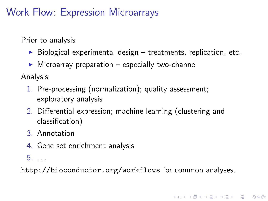# Work Flow: Expression Microarrays

Prior to analysis

- $\triangleright$  Biological experimental design treatments, replication, etc.
- $\triangleright$  Microarray preparation especially two-channel

Analysis

- 1. Pre-processing (normalization); quality assessment; exploratory analysis
- 2. Differential expression; machine learning (clustering and classification)
- 3. Annotation
- 4. Gene set enrichment analysis

5. . . .

<span id="page-4-0"></span><http://bioconductor.org/workflows> for common analyses.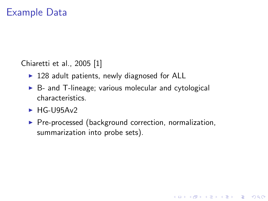#### Example Data

Chiaretti et al., 2005 [\[1\]](#page-14-1)

- $\blacktriangleright$  128 adult patients, newly diagnosed for ALL
- $\triangleright$  B- and T-lineage; various molecular and cytological characteristics.
- $\blacktriangleright$  HG-U95Av2
- $\triangleright$  Pre-processed (background correction, normalization, summarization into probe sets).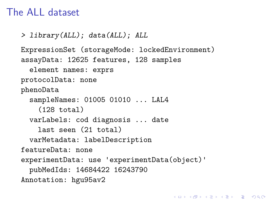#### The ALL dataset

```
> library(ALL); data(ALL); ALL
ExpressionSet (storageMode: lockedEnvironment)
assayData: 12625 features, 128 samples
  element names: exprs
protocolData: none
phenoData
  sampleNames: 01005 01010 ... LAL4
    (128 total)
  varLabels: cod diagnosis ... date
    last seen (21 total)
  varMetadata: labelDescription
featureData: none
experimentData: use 'experimentData(object)'
  pubMedIds: 14684422 16243790
Annotation: hgu95av2
```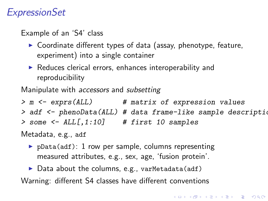## **ExpressionSet**

Example of an 'S4' class

- $\triangleright$  Coordinate different types of data (assay, phenotype, feature, experiment) into a single container
- $\blacktriangleright$  Reduces clerical errors, enhances interoperability and reproducibility

Manipulate with *accessors* and *subsetting* 

> m <- exprs(ALL) # matrix of expression values > adf <- phenoData(ALL) # data frame-like sample description  $>$  some  $<-$  ALL $[$ , 1:10] # first 10 samples

Metadata, e.g., adf

- $\triangleright$  pData(adf): 1 row per sample, columns representing measured attributes, e.g., sex, age, 'fusion protein'.
- $\triangleright$  Data about the columns, e.g., varMetadata(adf)

Warning: different S4 classes have different conventions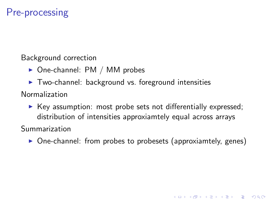## Pre-processing

Background correction

- $\triangleright$  One-channel: PM / MM probes
- $\triangleright$  Two-channel: background vs. foreground intensities

Normalization

 $\triangleright$  Key assumption: most probe sets not differentially expressed; distribution of intensities approxiamtely equal across arrays

Summarization

<span id="page-8-0"></span> $\triangleright$  One-channel: from probes to probesets (approxiamtely, genes)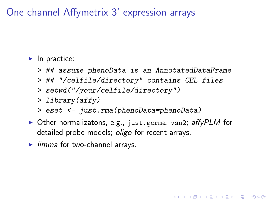One channel Affymetrix 3' expression arrays

 $\blacktriangleright$  In practice:

- > ## assume phenoData is an AnnotatedDataFrame
- > ## "/celfile/directory" contains CEL files
- > setwd("/your/celfile/directory")
- > library(affy)
- > eset <- just.rma(phenoData=phenoData)
- $\triangleright$  Other normalizatons, e.g., just.gcrma, vsn2; [affyPLM](http://bioconductor.org/packages/release/bioc/html/affyPLM.html) for detailed probe models; *[oligo](http://bioconductor.org/packages/release/bioc/html/oligo.html)* for recent arrays.

4 0 > 4 4 + 4 = + 4 = + = + + 0 4 0 +

 $\blacktriangleright$  [limma](http://bioconductor.org/packages/release/bioc/html/limma.html) for two-channel arrays.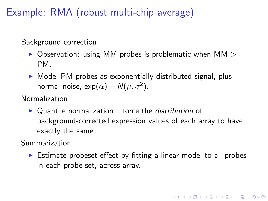Example: RMA (robust multi-chip average)

Background correction

- $\triangleright$  Observation: using MM probes is problematic when MM  $\triangleright$ PM.
- $\triangleright$  Model PM probes as exponentially distributed signal, plus normal noise,  $\exp(\alpha) + N(\mu, \sigma^2)$ .

Normalization

 $\triangleright$  Quantile normalization – force the *distribution* of background-corrected expression values of each array to have exactly the same.

Summarization

 $\triangleright$  Estimate probeset effect by fitting a linear model to all probes in each probe set, across array.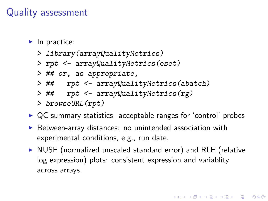#### Quality assessment

- $\blacktriangleright$  In practice:
	- > library(arrayQualityMetrics)
	- > rpt <- arrayQualityMetrics(eset)
	- > ## or, as appropriate,
	- > ## rpt <- arrayQualityMetrics(abatch)
	- > ## rpt <- arrayQualityMetrics(rg)
	- > browseURL(rpt)
- $\triangleright$  QC summary statistics: acceptable ranges for 'control' probes
- $\triangleright$  Between-array distances: no unintended association with experimental conditions, e.g., run date.
- <span id="page-11-0"></span> $\triangleright$  NUSE (normalized unscaled standard error) and RLE (relative log expression) plots: consistent expression and variablity across arrays.

4 0 > 4 4 + 4 = + 4 = + = + + 0 4 0 +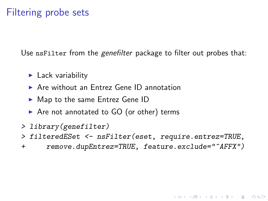### Filtering probe sets

Use nsFilter from the [genefilter](http://bioconductor.org/packages/release/bioc/html/genefilter.html) package to filter out probes that:

- $\blacktriangleright$  Lack variability
- $\triangleright$  Are without an Entrez Gene ID annotation
- $\blacktriangleright$  Map to the same Entrez Gene ID
- $\triangleright$  Are not annotated to GO (or other) terms
- > library(genefilter)
- > filteredESet <- nsFilter(eset, require.entrez=TRUE,
- <span id="page-12-0"></span>+ remove.dupEntrez=TRUE, feature.exclude="^AFFX")

KID K 4 D X R B X R B X D A Q A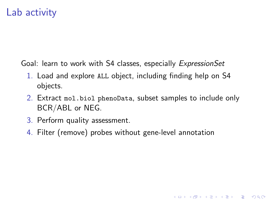## Lab activity

Goal: learn to work with S4 classes, especially *ExpressionSet* 

- 1. Load and explore ALL object, including finding help on S4 objects.
- 2. Extract mol.biol phenoData, subset samples to include only BCR/ABL or NEG.

4 0 > 4 4 + 4 = + 4 = + = + + 0 4 0 +

- 3. Perform quality assessment.
- <span id="page-13-0"></span>4. Filter (remove) probes without gene-level annotation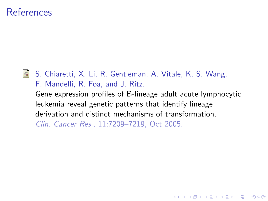#### References

<span id="page-14-1"></span>

<span id="page-14-0"></span>■ S. Chiaretti, X. Li, R. Gentleman, A. Vitale, K. S. Wang, F. Mandelli, R. Foa, and J. Ritz. Gene expression profiles of B-lineage adult acute lymphocytic leukemia reveal genetic patterns that identify lineage derivation and distinct mechanisms of transformation. Clin. Cancer Res., 11:7209–7219, Oct 2005.